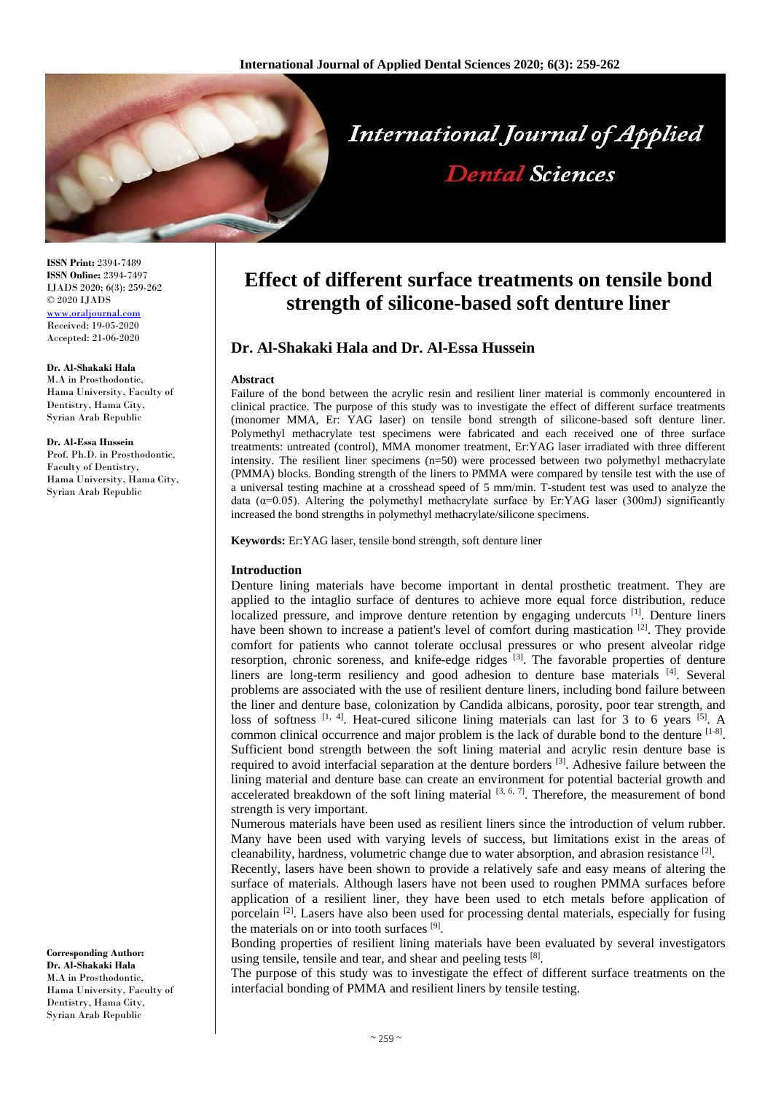

**ISSN Print:** 2394-7489 **ISSN Online:** 2394-7497 IJADS 2020; 6(3): 259-262 © 2020 IJADS [www.oraljournal.com](http://www.oraljournal.com/) Received: 19-05-2020 Accepted: 21-06-2020

#### **Dr. Al-Shakaki Hala**

M.A in Prosthodontic, Hama University, Faculty of Dentistry, Hama City, Syrian Arab Republic

#### **Dr. Al-Essa Hussein**

Prof. Ph.D. in Prosthodontic, Faculty of Dentistry, Hama University, Hama City, Syrian Arab Republic

**Corresponding Author: Dr. Al-Shakaki Hala**

M. A in Prosthodontic Hama University, Faculty of Dentistry, Hama City, Syrian Arab Republic

# **Effect of different surface treatments on tensile bond strength of silicone-based soft denture liner**

# **Dr. Al-Shakaki Hala and Dr. Al-Essa Hussein**

#### **Abstract**

Failure of the bond between the acrylic resin and resilient liner material is commonly encountered in clinical practice. The purpose of this study was to investigate the effect of different surface treatments (monomer MMA, Er: YAG laser) on tensile bond strength of silicone-based soft denture liner. Polymethyl methacrylate test specimens were fabricated and each received one of three surface treatments: untreated (control), MMA monomer treatment, Er:YAG laser irradiated with three different intensity. The resilient liner specimens (n=50) were processed between two polymethyl methacrylate (PMMA) blocks. Bonding strength of the liners to PMMA were compared by tensile test with the use of a universal testing machine at a crosshead speed of 5 mm/min. T-student test was used to analyze the data  $(\alpha=0.05)$ . Altering the polymethyl methacrylate surface by Er:YAG laser (300mJ) significantly increased the bond strengths in polymethyl methacrylate/silicone specimens.

**Keywords:** Er:YAG laser, tensile bond strength, soft denture liner

#### **Introduction**

Denture lining materials have become important in dental prosthetic treatment. They are applied to the intaglio surface of dentures to achieve more equal force distribution, reduce localized pressure, and improve denture retention by engaging undercuts [1]. Denture liners have been shown to increase a patient's level of comfort during mastication  $[2]$ . They provide comfort for patients who cannot tolerate occlusal pressures or who present alveolar ridge resorption, chronic soreness, and knife-edge ridges <sup>[3]</sup>. The favorable properties of denture liners are long-term resiliency and good adhesion to denture base materials <sup>[4]</sup>. Several problems are associated with the use of resilient denture liners, including bond failure between the liner and denture base, colonization by Candida albicans, porosity, poor tear strength, and loss of softness  $[1, 4]$ . Heat-cured silicone lining materials can last for 3 to 6 years  $[5]$ . A common clinical occurrence and major problem is the lack of durable bond to the denture  $[1-8]$ . Sufficient bond strength between the soft lining material and acrylic resin denture base is required to avoid interfacial separation at the denture borders <sup>[3]</sup>. Adhesive failure between the lining material and denture base can create an environment for potential bacterial growth and accelerated breakdown of the soft lining material  $[3, 6, 7]$ . Therefore, the measurement of bond strength is very important.

Numerous materials have been used as resilient liners since the introduction of velum rubber. Many have been used with varying levels of success, but limitations exist in the areas of cleanability, hardness, volumetric change due to water absorption, and abrasion resistance  $^{[2]}$ .

Recently, lasers have been shown to provide a relatively safe and easy means of altering the surface of materials. Although lasers have not been used to roughen PMMA surfaces before application of a resilient liner, they have been used to etch metals before application of porcelain  $\left[2\right]$ . Lasers have also been used for processing dental materials, especially for fusing the materials on or into tooth surfaces [9].

Bonding properties of resilient lining materials have been evaluated by several investigators using tensile, tensile and tear, and shear and peeling tests [8].

The purpose of this study was to investigate the effect of different surface treatments on the interfacial bonding of PMMA and resilient liners by tensile testing.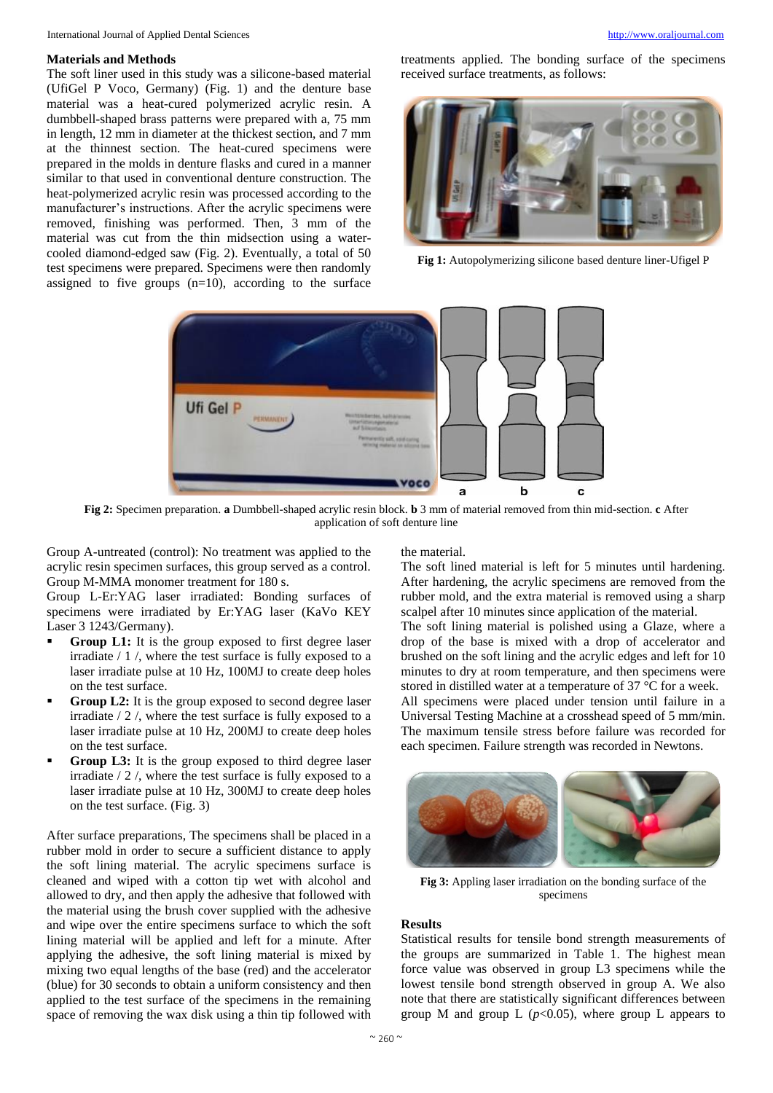#### **Materials and Methods**

The soft liner used in this study was a silicone-based material (UfiGel P Voco, Germany) (Fig. 1) and the denture base material was a heat-cured polymerized acrylic resin. A dumbbell-shaped brass patterns were prepared with a, 75 mm in length, 12 mm in diameter at the thickest section, and 7 mm at the thinnest section. The heat-cured specimens were prepared in the molds in denture flasks and cured in a manner similar to that used in conventional denture construction. The heat-polymerized acrylic resin was processed according to the manufacturer's instructions. After the acrylic specimens were removed, finishing was performed. Then, 3 mm of the material was cut from the thin midsection using a watercooled diamond-edged saw (Fig. 2). Eventually, a total of 50 test specimens were prepared. Specimens were then randomly assigned to five groups  $(n=10)$ , according to the surface

treatments applied. The bonding surface of the specimens received surface treatments, as follows:



**Fig 1:** Autopolymerizing silicone based denture liner-Ufigel P



**Fig 2:** Specimen preparation. **a** Dumbbell-shaped acrylic resin block. **b** 3 mm of material removed from thin mid-section. **c** After application of soft denture line

Group A-untreated (control): No treatment was applied to the acrylic resin specimen surfaces, this group served as a control. Group M-MMA monomer treatment for 180 s.

Group L-Er:YAG laser irradiated: Bonding surfaces of specimens were irradiated by Er:YAG laser (KaVo KEY Laser 3 1243/Germany).

- Group L1: It is the group exposed to first degree laser irradiate / 1 /, where the test surface is fully exposed to a laser irradiate pulse at 10 Hz, 100MJ to create deep holes on the test surface.
- **Group L2:** It is the group exposed to second degree laser irradiate / 2 /, where the test surface is fully exposed to a laser irradiate pulse at 10 Hz, 200MJ to create deep holes on the test surface.
- **Group L3:** It is the group exposed to third degree laser irradiate / 2 /, where the test surface is fully exposed to a laser irradiate pulse at 10 Hz, 300MJ to create deep holes on the test surface. (Fig. 3)

After surface preparations, The specimens shall be placed in a rubber mold in order to secure a sufficient distance to apply the soft lining material. The acrylic specimens surface is cleaned and wiped with a cotton tip wet with alcohol and allowed to dry, and then apply the adhesive that followed with the material using the brush cover supplied with the adhesive and wipe over the entire specimens surface to which the soft lining material will be applied and left for a minute. After applying the adhesive, the soft lining material is mixed by mixing two equal lengths of the base (red) and the accelerator (blue) for 30 seconds to obtain a uniform consistency and then applied to the test surface of the specimens in the remaining space of removing the wax disk using a thin tip followed with

the material.

The soft lined material is left for 5 minutes until hardening. After hardening, the acrylic specimens are removed from the rubber mold, and the extra material is removed using a sharp scalpel after 10 minutes since application of the material.

The soft lining material is polished using a Glaze, where a drop of the base is mixed with a drop of accelerator and brushed on the soft lining and the acrylic edges and left for 10 minutes to dry at room temperature, and then specimens were stored in distilled water at a temperature of 37 °C for a week. All specimens were placed under tension until failure in a Universal Testing Machine at a crosshead speed of 5 mm/min. The maximum tensile stress before failure was recorded for each specimen. Failure strength was recorded in Newtons.



**Fig 3:** Appling laser irradiation on the bonding surface of the specimens

#### **Results**

Statistical results for tensile bond strength measurements of the groups are summarized in Table 1. The highest mean force value was observed in group L3 specimens while the lowest tensile bond strength observed in group A. We also note that there are statistically significant differences between group M and group L  $(p<0.05)$ , where group L appears to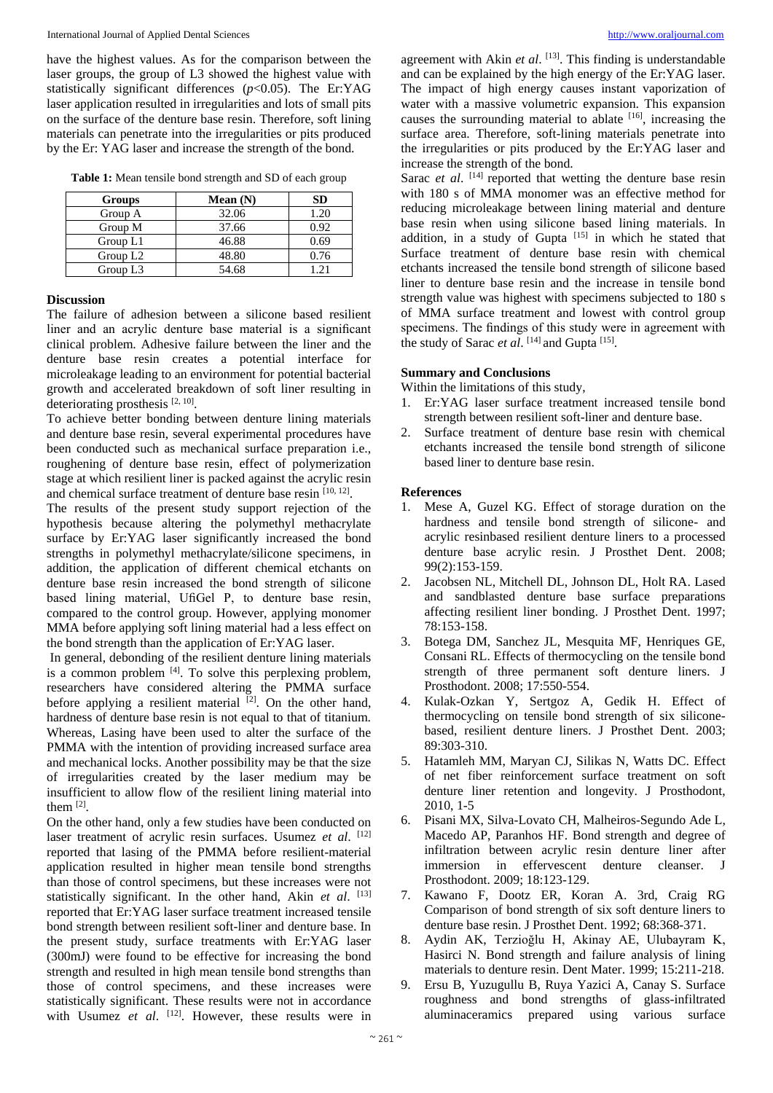have the highest values. As for the comparison between the laser groups, the group of L3 showed the highest value with statistically significant differences (*p*<0.05). The Er:YAG laser application resulted in irregularities and lots of small pits on the surface of the denture base resin. Therefore, soft lining materials can penetrate into the irregularities or pits produced by the Er: YAG laser and increase the strength of the bond.

| Table 1: Mean tensile bond strength and SD of each group |  |  |
|----------------------------------------------------------|--|--|
|                                                          |  |  |

| Groups     | Mean $(N)$ | SD   |
|------------|------------|------|
| Group A    | 32.06      | 1.20 |
| Group M    | 37.66      | 0.92 |
| Group L1   | 46.88      | 0.69 |
| Group $L2$ | 48.80      | 0.76 |
| Group L3   | 54.68      |      |

#### **Discussion**

The failure of adhesion between a silicone based resilient liner and an acrylic denture base material is a significant clinical problem. Adhesive failure between the liner and the denture base resin creates a potential interface for microleakage leading to an environment for potential bacterial growth and accelerated breakdown of soft liner resulting in deteriorating prosthesis [2, 10].

To achieve better bonding between denture lining materials and denture base resin, several experimental procedures have been conducted such as mechanical surface preparation i.e., roughening of denture base resin, effect of polymerization stage at which resilient liner is packed against the acrylic resin and chemical surface treatment of denture base resin [10, 12].

The results of the present study support rejection of the hypothesis because altering the polymethyl methacrylate surface by Er:YAG laser significantly increased the bond strengths in polymethyl methacrylate/silicone specimens, in addition, the application of different chemical etchants on denture base resin increased the bond strength of silicone based lining material, UfiGel P, to denture base resin, compared to the control group. However, applying monomer MMA before applying soft lining material had a less effect on the bond strength than the application of Er:YAG laser.

In general, debonding of the resilient denture lining materials is a common problem  $[4]$ . To solve this perplexing problem, researchers have considered altering the PMMA surface before applying a resilient material  $[2]$ . On the other hand, hardness of denture base resin is not equal to that of titanium. Whereas, Lasing have been used to alter the surface of the PMMA with the intention of providing increased surface area and mechanical locks. Another possibility may be that the size of irregularities created by the laser medium may be insufficient to allow flow of the resilient lining material into them  $^{[2]}$ .

On the other hand, only a few studies have been conducted on laser treatment of acrylic resin surfaces. Usumez *et al*. [12] reported that lasing of the PMMA before resilient-material application resulted in higher mean tensile bond strengths than those of control specimens, but these increases were not statistically significant. In the other hand, Akin *et al*. [13] reported that Er:YAG laser surface treatment increased tensile bond strength between resilient soft-liner and denture base. In the present study, surface treatments with Er:YAG laser (300mJ) were found to be effective for increasing the bond strength and resulted in high mean tensile bond strengths than those of control specimens, and these increases were statistically significant. These results were not in accordance with Usumez et al. <sup>[12]</sup>. However, these results were in

agreement with Akin et al. [13]. This finding is understandable and can be explained by the high energy of the Er:YAG laser. The impact of high energy causes instant vaporization of water with a massive volumetric expansion. This expansion causes the surrounding material to ablate [16] , increasing the surface area. Therefore, soft-lining materials penetrate into the irregularities or pits produced by the Er:YAG laser and increase the strength of the bond.

Sarac *et al.* <sup>[14]</sup> reported that wetting the denture base resin with 180 s of MMA monomer was an effective method for reducing microleakage between lining material and denture base resin when using silicone based lining materials. In addition, in a study of Gupta  $[15]$  in which he stated that Surface treatment of denture base resin with chemical etchants increased the tensile bond strength of silicone based liner to denture base resin and the increase in tensile bond strength value was highest with specimens subjected to 180 s of MMA surface treatment and lowest with control group specimens. The findings of this study were in agreement with the study of Sarac *et al.* <sup>[14]</sup> and Gupta<sup>[15]</sup>.

## **Summary and Conclusions**

Within the limitations of this study,

- 1. Er:YAG laser surface treatment increased tensile bond strength between resilient soft-liner and denture base.
- 2. Surface treatment of denture base resin with chemical etchants increased the tensile bond strength of silicone based liner to denture base resin.

### **References**

- 1. Mese A, Guzel KG. Effect of storage duration on the hardness and tensile bond strength of silicone- and acrylic resinbased resilient denture liners to a processed denture base acrylic resin. J Prosthet Dent. 2008; 99(2):153-159.
- 2. Jacobsen NL, Mitchell DL, Johnson DL, Holt RA. Lased and sandblasted denture base surface preparations affecting resilient liner bonding. J Prosthet Dent. 1997; 78:153-158.
- 3. Botega DM, Sanchez JL, Mesquita MF, Henriques GE, Consani RL. Effects of thermocycling on the tensile bond strength of three permanent soft denture liners. J Prosthodont. 2008; 17:550-554.
- 4. Kulak-Ozkan Y, Sertgoz A, Gedik H. Effect of thermocycling on tensile bond strength of six siliconebased, resilient denture liners. J Prosthet Dent. 2003; 89:303-310.
- 5. Hatamleh MM, Maryan CJ, Silikas N, Watts DC. Effect of net fiber reinforcement surface treatment on soft denture liner retention and longevity. J Prosthodont, 2010, 1-5
- 6. Pisani MX, Silva-Lovato CH, Malheiros-Segundo Ade L, Macedo AP, Paranhos HF. Bond strength and degree of infiltration between acrylic resin denture liner after immersion in effervescent denture cleanser. J Prosthodont. 2009; 18:123-129.
- 7. Kawano F, Dootz ER, Koran A. 3rd, Craig RG Comparison of bond strength of six soft denture liners to denture base resin. J Prosthet Dent. 1992; 68:368-371.
- 8. Aydin AK, Terzioğlu H, Akinay AE, Ulubayram K, Hasirci N. Bond strength and failure analysis of lining materials to denture resin. Dent Mater. 1999; 15:211-218.
- 9. Ersu B, Yuzugullu B, Ruya Yazici A, Canay S. Surface roughness and bond strengths of glass-infiltrated aluminaceramics prepared using various surface